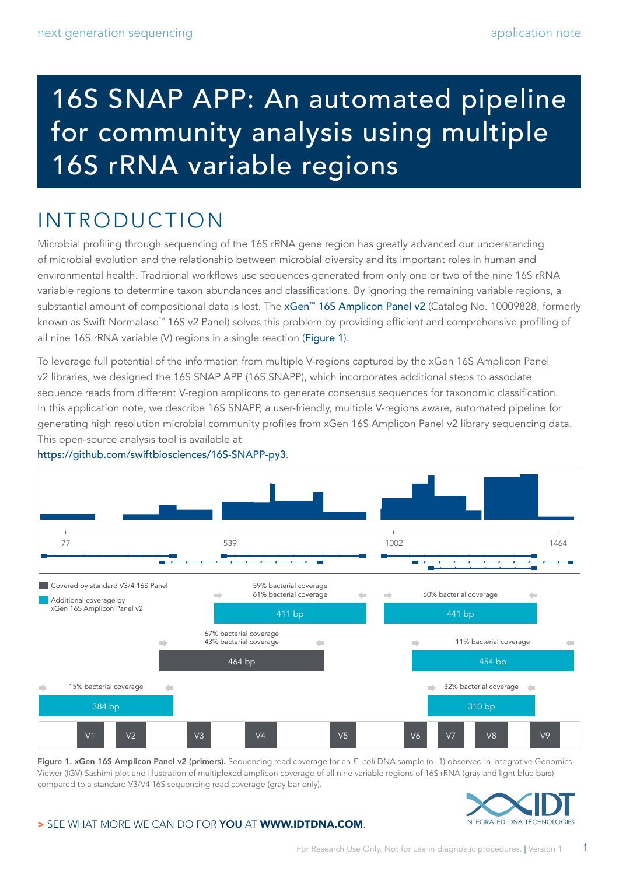# 16S SNAP APP: An automated pipeline for community analysis using multiple 16S rRNA variable regions

# INTRODUCTION

Microbial profiling through sequencing of the 16S rRNA gene region has greatly advanced our understanding of microbial evolution and the relationship between microbial diversity and its important roles in human and environmental health. Traditional workflows use sequences generated from only one or two of the nine 16S rRNA variable regions to determine taxon abundances and classifications. By ignoring the remaining variable regions, a substantial amount of compositional data is lost. The [xGen™ 16S Amplicon Panel v2](https://www.idtdna.com/pages/products/next-generation-sequencing/workflow/xgen-ngs-amplicon-sequencing/predesigned-amplicon-panels/metagenomics-amp-panels) (Catalog No. 10009828, formerly known as Swift Normalase™ 16S v2 Panel) solves this problem by providing efficient and comprehensive profiling of all nine 16S rRNA variable (V) regions in a single reaction (Figure 1).

To leverage full potential of the information from multiple V-regions captured by the xGen 16S Amplicon Panel v2 libraries, we designed the 16S SNAP APP (16S SNAPP), which incorporates additional steps to associate sequence reads from different V-region amplicons to generate consensus sequences for taxonomic classification. In this application note, we describe 16S SNAPP, a user-friendly, multiple V-regions aware, automated pipeline for generating high resolution microbial community profiles from xGen 16S Amplicon Panel v2 library sequencing data. This open-source analysis tool is available at



<https://github.com/swiftbiosciences/16S-SNAPP-py3>.

Figure 1. xGen 16S Amplicon Panel v2 (primers). Sequencing read coverage for an *E. coli* DNA sample (n=1) observed in Integrative Genomics Viewer (IGV) Sashimi plot and illustration of multiplexed amplicon coverage of all nine variable regions of 16S rRNA (gray and light blue bars) compared to a standard V3/V4 16S sequencing read coverage (gray bar only).



#### > SEE WHAT MORE WE CAN DO FOR YOU AT WWW.IDTDNA.COM.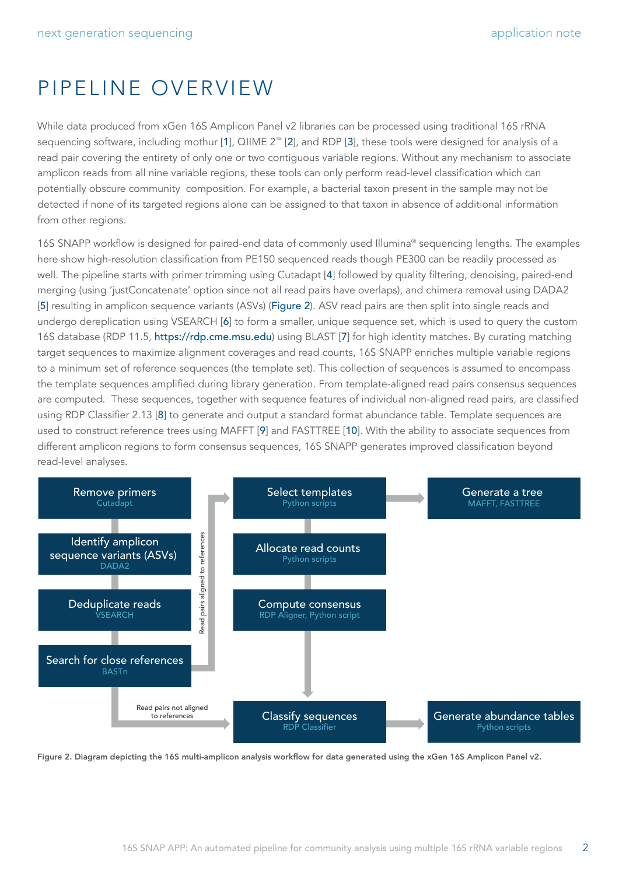### PIPELINE OVERVIEW

While data produced from xGen 16S Amplicon Panel v2 libraries can be processed using traditional 16S rRNA sequencing software, including mothur [[1](#page-4-0)], QIIME 2™ [[2](#page-4-1)], and RDP [[3](#page-4-2)], these tools were designed for analysis of a read pair covering the entirety of only one or two contiguous variable regions. Without any mechanism to associate amplicon reads from all nine variable regions, these tools can only perform read-level classification which can potentially obscure community composition. For example, a bacterial taxon present in the sample may not be detected if none of its targeted regions alone can be assigned to that taxon in absence of additional information from other regions.

16S SNAPP workflow is designed for paired-end data of commonly used Illumina® sequencing lengths. The examples here show high-resolution classification from PE150 sequenced reads though PE300 can be readily processed as well. The pipeline starts with primer trimming using Cutadapt [[4](#page-4-3)] followed by quality filtering, denoising, paired-end merging (using 'justConcatenate' option since not all read pairs have overlaps), and chimera removal using DADA2 [[5](#page-4-4)] resulting in amplicon sequence variants (ASVs) (Figure 2). ASV read pairs are then split into single reads and undergo dereplication using VSEARCH [[6](#page-4-5)] to form a smaller, unique sequence set, which is used to query the custom 16S database (RDP 11.5, <https://rdp.cme.msu.edu>) using BLAST [[7](#page-4-6)] for high identity matches. By curating matching target sequences to maximize alignment coverages and read counts, 16S SNAPP enriches multiple variable regions to a minimum set of reference sequences (the template set). This collection of sequences is assumed to encompass the template sequences amplified during library generation. From template-aligned read pairs consensus sequences are computed. These sequences, together with sequence features of individual non-aligned read pairs, are classified using RDP Classifier 2.13 [[8](#page-4-7)] to generate and output a standard format abundance table. Template sequences are used to construct reference trees using MAFFT [[9](#page-4-8)] and FASTTREE [[10](#page-4-9)]. With the ability to associate sequences from different amplicon regions to form consensus sequences, 16S SNAPP generates improved classification beyond read-level analyses.



Figure 2. Diagram depicting the 16S multi-amplicon analysis workflow for data generated using the xGen 16S Amplicon Panel v2.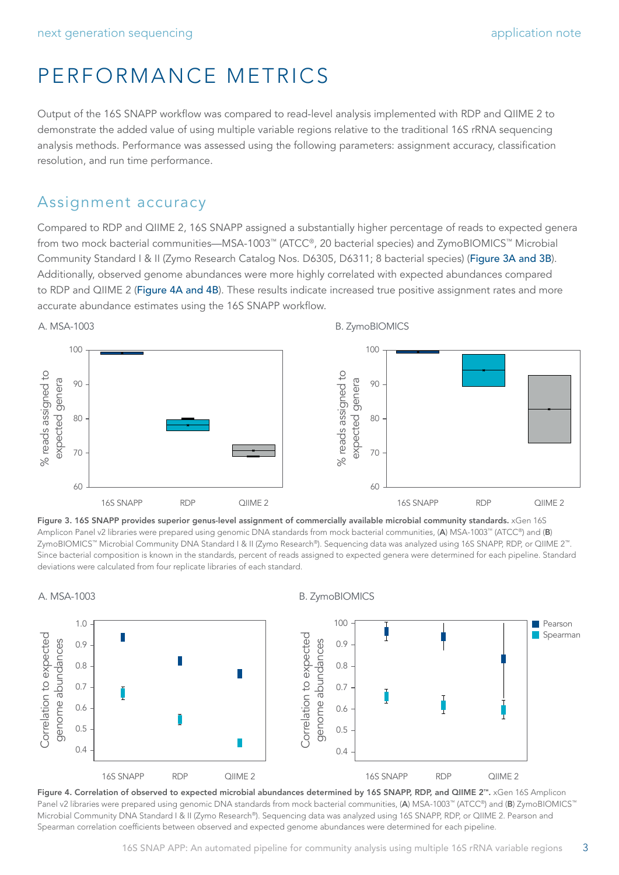# PERFORMANCE METRICS

Output of the 16S SNAPP workflow was compared to read-level analysis implemented with RDP and QIIME 2 to demonstrate the added value of using multiple variable regions relative to the traditional 16S rRNA sequencing analysis methods. Performance was assessed using the following parameters: assignment accuracy, classification resolution, and run time performance.

### Assignment accuracy

Compared to RDP and QIIME 2, 16S SNAPP assigned a substantially higher percentage of reads to expected genera from two mock bacterial communities—MSA-1003™ (ATCC®, 20 bacterial species) and ZymoBIOMICS™ Microbial Community Standard I & II (Zymo Research Catalog Nos. D6305, D6311; 8 bacterial species) (Figure 3A and 3B). Additionally, observed genome abundances were more highly correlated with expected abundances compared to RDP and QIIME 2 (Figure 4A and 4B). These results indicate increased true positive assignment rates and more accurate abundance estimates using the 16S SNAPP workflow.



Figure 3. 16S SNAPP provides superior genus-level assignment of commercially available microbial community standards. xGen 16S Amplicon Panel v2 libraries were prepared using genomic DNA standards from mock bacterial communities, (A) MSA-1003™ (ATCC®) and (B) ZymoBIOMICS™ Microbial Community DNA Standard I & II (Zymo Research®). Sequencing data was analyzed using 16S SNAPP, RDP, or QIIME 2™. Since bacterial composition is known in the standards, percent of reads assigned to expected genera were determined for each pipeline. Standard deviations were calculated from four replicate libraries of each standard.



Figure 4. Correlation of observed to expected microbial abundances determined by 16S SNAPP, RDP, and QIIME 2™. xGen 16S Amplicon Panel v2 libraries were prepared using genomic DNA standards from mock bacterial communities, (A) MSA-1003™ (ATCC®) and (B) ZymoBIOMICS™ Microbial Community DNA Standard I & II (Zymo Research®). Sequencing data was analyzed using 16S SNAPP, RDP, or QIIME 2. Pearson and Spearman correlation coefficients between observed and expected genome abundances were determined for each pipeline.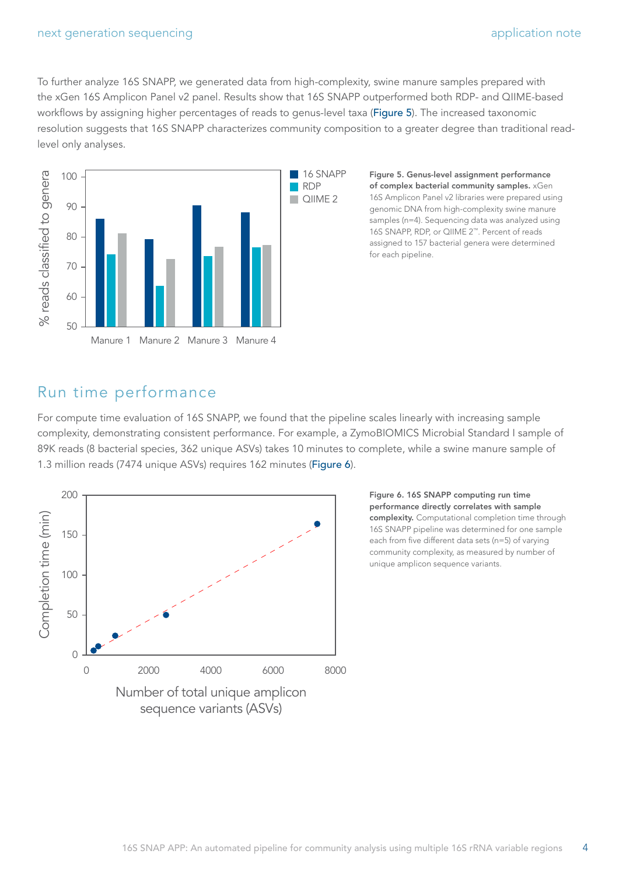To further analyze 16S SNAPP, we generated data from high-complexity, swine manure samples prepared with the xGen 16S Amplicon Panel v2 panel. Results show that 16S SNAPP outperformed both RDP- and QIIME-based workflows by assigning higher percentages of reads to genus-level taxa (Figure 5). The increased taxonomic resolution suggests that 16S SNAPP characterizes community composition to a greater degree than traditional readlevel only analyses.



Figure 5. Genus-level assignment performance of complex bacterial community samples. xGen 16S Amplicon Panel v2 libraries were prepared using genomic DNA from high-complexity swine manure samples (n=4). Sequencing data was analyzed using 16S SNAPP, RDP, or QIIME 2™. Percent of reads assigned to 157 bacterial genera were determined for each pipeline.

### Run time performance

For compute time evaluation of 16S SNAPP, we found that the pipeline scales linearly with increasing sample complexity, demonstrating consistent performance. For example, a ZymoBIOMICS Microbial Standard I sample of 89K reads (8 bacterial species, 362 unique ASVs) takes 10 minutes to complete, while a swine manure sample of 1.3 million reads (7474 unique ASVs) requires 162 minutes (Figure 6).



Figure 6. 16S SNAPP computing run time performance directly correlates with sample complexity. Computational completion time through 16S SNAPP pipeline was determined for one sample each from five different data sets (n=5) of varying community complexity, as measured by number of unique amplicon sequence variants.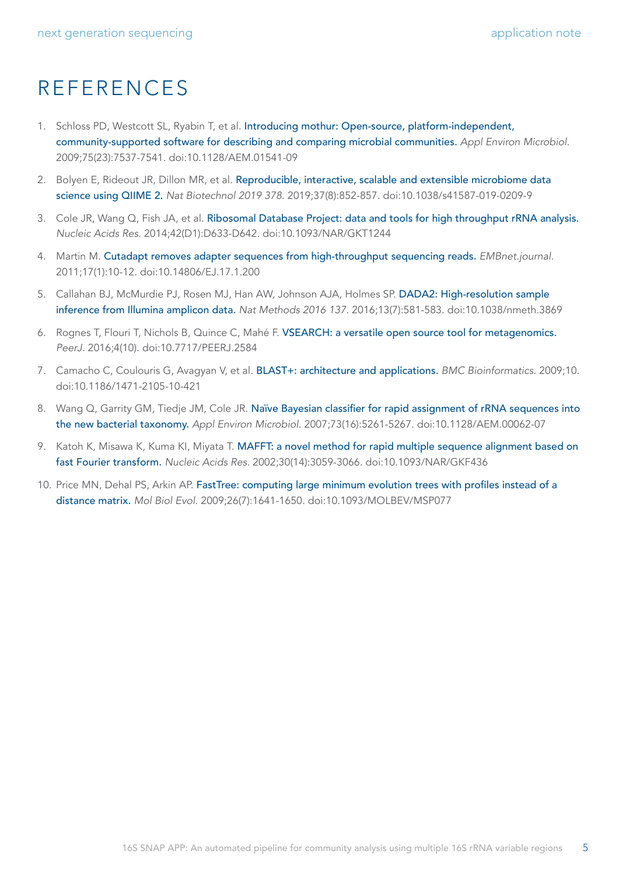### REFERENCES

- <span id="page-4-0"></span>1. Schloss PD, Westcott SL, Ryabin T, et al. [Introducing mothur: Open-source, platform-independent,](https://pubmed.ncbi.nlm.nih.gov/19801464/)  [community-supported software for describing and comparing microbial communities.](https://pubmed.ncbi.nlm.nih.gov/19801464/) *Appl Environ Microbiol.* 2009;75(23):7537-7541. doi:10.1128/AEM.01541-09
- <span id="page-4-1"></span>2. Bolyen E, Rideout JR, Dillon MR, et al. [Reproducible, interactive, scalable and extensible microbiome data](https://pubmed.ncbi.nlm.nih.gov/31341288/)  [science using QIIME 2.](https://pubmed.ncbi.nlm.nih.gov/31341288/) *Nat Biotechnol 2019 378.* 2019;37(8):852-857. doi:10.1038/s41587-019-0209-9
- <span id="page-4-2"></span>3. Cole JR, Wang Q, Fish JA, et al. [Ribosomal Database Project: data and tools for high throughput rRNA analysis.](https://pubmed.ncbi.nlm.nih.gov/24288368/) *Nucleic Acids Res.* 2014;42(D1):D633-D642. doi:10.1093/NAR/GKT1244
- <span id="page-4-3"></span>4. Martin M. [Cutadapt removes adapter sequences from high-throughput sequencing reads.](http://journal.embnet.org/index.php/embnetjournal/article/view/200) *EMBnet.journal.* 2011;17(1):10-12. doi:10.14806/EJ.17.1.200
- <span id="page-4-4"></span>5. Callahan BJ, McMurdie PJ, Rosen MJ, Han AW, Johnson AJA, Holmes SP. [DADA2: High-resolution sample](https://pubmed.ncbi.nlm.nih.gov/27214047/)  [inference from Illumina amplicon data.](https://pubmed.ncbi.nlm.nih.gov/27214047/) *Nat Methods 2016 137.* 2016;13(7):581-583. doi:10.1038/nmeth.3869
- <span id="page-4-5"></span>6. Rognes T, Flouri T, Nichols B, Quince C, Mahé F. [VSEARCH: a versatile open source tool for metagenomics.](https://pubmed.ncbi.nlm.nih.gov/27781170/) *PeerJ.* 2016;4(10). doi:10.7717/PEERJ.2584
- <span id="page-4-6"></span>7. Camacho C, Coulouris G, Avagyan V, et al. [BLAST+: architecture and applications.](https://pubmed.ncbi.nlm.nih.gov/20003500/) *BMC Bioinformatics.* 2009;10. doi:10.1186/1471-2105-10-421
- <span id="page-4-7"></span>8. Wang Q, Garrity GM, Tiedje JM, Cole JR. Naïve Bayesian classifier for rapid assignment of rRNA sequences into [the new bacterial taxonomy.](https://pubmed.ncbi.nlm.nih.gov/17586664/) *Appl Environ Microbiol.* 2007;73(16):5261-5267. doi:10.1128/AEM.00062-07
- <span id="page-4-8"></span>9. Katoh K, Misawa K, Kuma KI, Miyata T. MAFFT: a novel method for rapid multiple sequence alignment based on [fast Fourier transform.](https://pubmed.ncbi.nlm.nih.gov/12136088/) *Nucleic Acids Res.* 2002;30(14):3059-3066. doi:10.1093/NAR/GKF436
- <span id="page-4-9"></span>10. Price MN, Dehal PS, Arkin AP. [FastTree: computing large minimum evolution trees with profiles instead of a](https://pubmed.ncbi.nlm.nih.gov/19377059/)  [distance matrix.](https://pubmed.ncbi.nlm.nih.gov/19377059/) *Mol Biol Evol.* 2009;26(7):1641-1650. doi:10.1093/MOLBEV/MSP077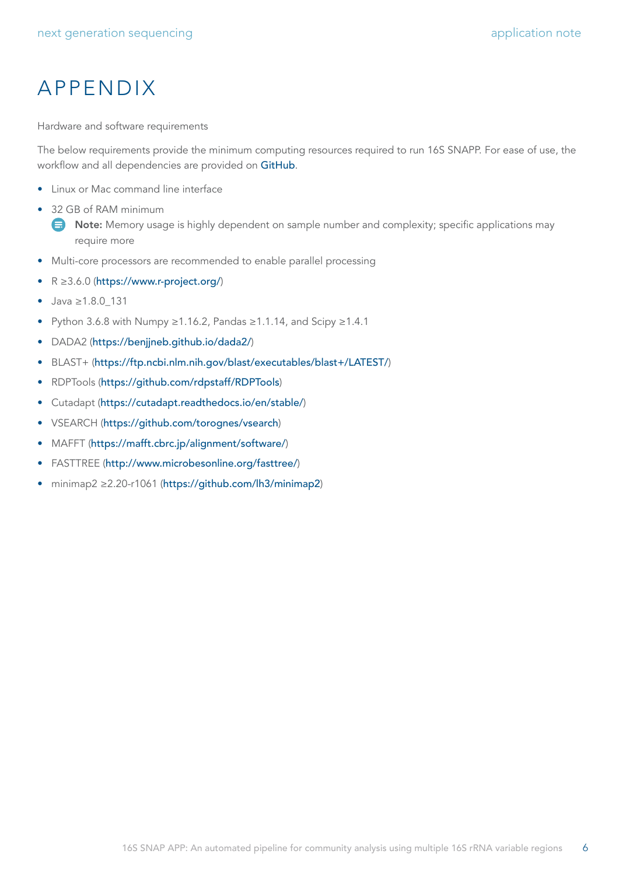# APPENDIX

Hardware and software requirements

The below requirements provide the minimum computing resources required to run 16S SNAPP. For ease of use, the workflow and all dependencies are provided on [GitHub](https://github.com/swiftbiosciences/16S-SNAPP-py3).

- Linux or Mac command line interface
- 32 GB of RAM minimum
	- $\bigoplus$  Note: Memory usage is highly dependent on sample number and complexity; specific applications may require more
- Multi-core processors are recommended to enable parallel processing
- R ≥3.6.0 (<https://www.r-project.org/>)
- Java ≥1.8.0\_131
- Python 3.6.8 with Numpy ≥1.16.2, Pandas ≥1.1.14, and Scipy ≥1.4.1
- DADA2 (<https://benjjneb.github.io/dada2/>)
- BLAST+ (<https://ftp.ncbi.nlm.nih.gov/blast/executables/blast+/LATEST/>)
- RDPTools (<https://github.com/rdpstaff/RDPTools>)
- Cutadapt (<https://cutadapt.readthedocs.io/en/stable/>)
- VSEARCH (<https://github.com/torognes/vsearch>)
- MAFFT (<https://mafft.cbrc.jp/alignment/software/>)
- FASTTREE (<http://www.microbesonline.org/fasttree/>)
- minimap2 ≥2.20-r1061 (<https://github.com/lh3/minimap2>)